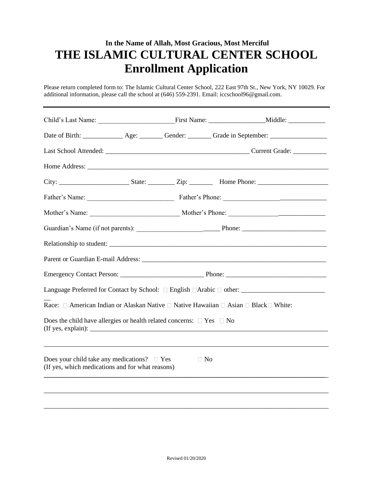## **In the Name of Allah, Most Gracious, Most Merciful THE ISLAMIC CULTURAL CENTER SCHOOL Enrollment Application**

Please return completed form to: The Islamic Cultural Center School, 222 East 97th St., New York, NY 10029. For additional information, please call the school at (646) 559-2391. Email: iccschool96@gmail.com.

| Date of Birth: _______________ Age: _________ Gender: ________ Grade in September: _________________    |           |  |
|---------------------------------------------------------------------------------------------------------|-----------|--|
|                                                                                                         |           |  |
|                                                                                                         |           |  |
|                                                                                                         |           |  |
|                                                                                                         |           |  |
|                                                                                                         |           |  |
|                                                                                                         |           |  |
|                                                                                                         |           |  |
|                                                                                                         |           |  |
|                                                                                                         |           |  |
| Language Preferred for Contact by School: □ English □Arabic □ other: ______________________________     |           |  |
| Race: □ American Indian or Alaskan Native □ Native Hawaiian □ Asian □ Black□ White:                     |           |  |
| Does the child have allergies or health related concerns: $\Box$ Yes $\Box$ No                          |           |  |
| Does your child take any medications? $\square$ Yes<br>(If yes, which medications and for what reasons) | $\Box$ No |  |
|                                                                                                         |           |  |
|                                                                                                         |           |  |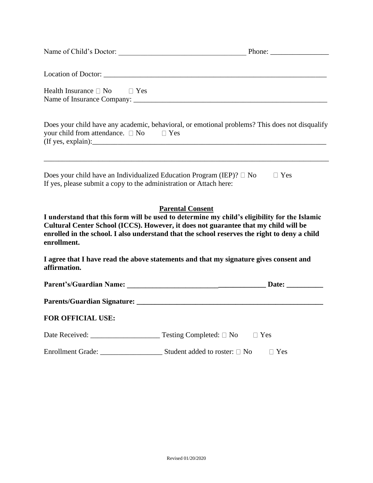|                                                                    | Name of Child's Doctor:<br>Phone:                                                                                                                                                                                                                                                                              |
|--------------------------------------------------------------------|----------------------------------------------------------------------------------------------------------------------------------------------------------------------------------------------------------------------------------------------------------------------------------------------------------------|
|                                                                    |                                                                                                                                                                                                                                                                                                                |
| Health Insurance $\Box$ No $\Box$ Yes                              |                                                                                                                                                                                                                                                                                                                |
| your child from attendance. $\Box$ No $\Box$ Yes                   | Does your child have any academic, behavioral, or emotional problems? This does not disqualify                                                                                                                                                                                                                 |
| If yes, please submit a copy to the administration or Attach here: | Does your child have an Individualized Education Program (IEP)? $\Box$ No<br>$\Box$ Yes                                                                                                                                                                                                                        |
| enrollment.                                                        | <b>Parental Consent</b><br>I understand that this form will be used to determine my child's eligibility for the Islamic<br>Cultural Center School (ICCS). However, it does not guarantee that my child will be<br>enrolled in the school. I also understand that the school reserves the right to deny a child |
| affirmation.                                                       | I agree that I have read the above statements and that my signature gives consent and                                                                                                                                                                                                                          |
|                                                                    |                                                                                                                                                                                                                                                                                                                |
|                                                                    |                                                                                                                                                                                                                                                                                                                |
| <b>FOR OFFICIAL USE:</b>                                           |                                                                                                                                                                                                                                                                                                                |
|                                                                    | $\Box$ Yes                                                                                                                                                                                                                                                                                                     |
| Enrollment Grade:                                                  | Student added to roster: $\Box$ No<br>$\Box$ Yes                                                                                                                                                                                                                                                               |